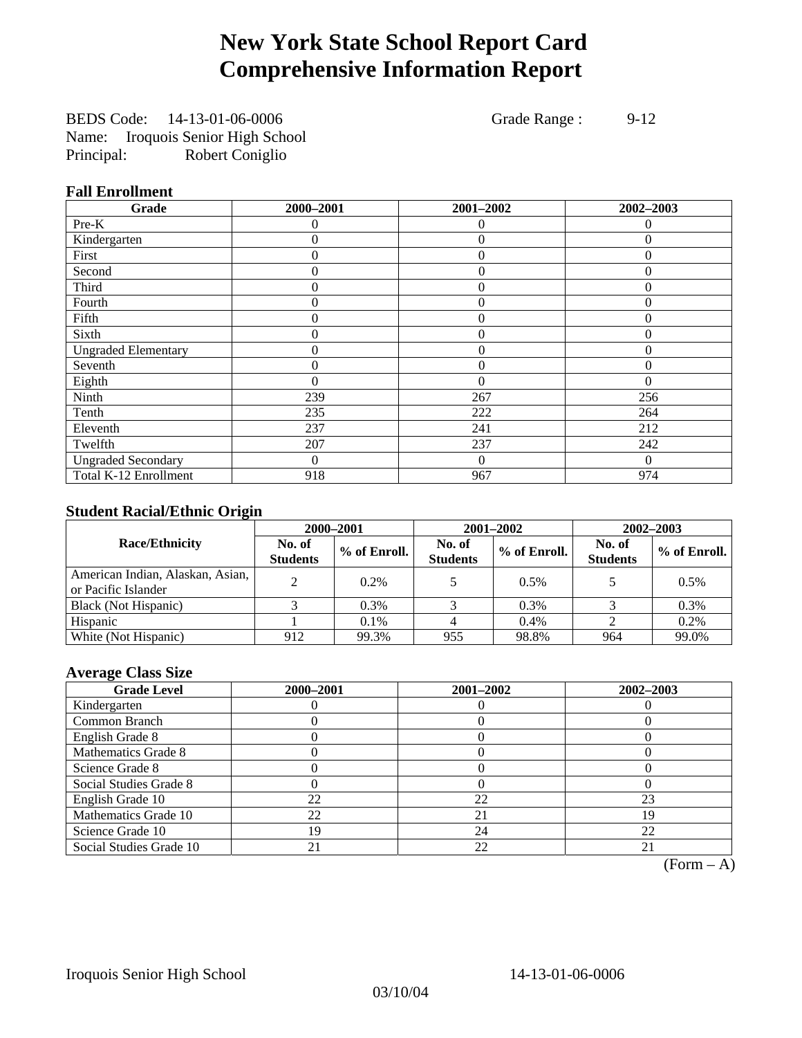## **New York State School Report Card Comprehensive Information Report**

BEDS Code: 14-13-01-06-0006 Grade Range : 9-12 Name: Iroquois Senior High School Principal: Robert Coniglio

### **Fall Enrollment**

| Grade                      | 2000-2001 | 2001-2002      | 2002-2003 |
|----------------------------|-----------|----------------|-----------|
| Pre-K                      | $\Omega$  | $\Omega$       | $\Omega$  |
| Kindergarten               | 0         | $\theta$       | $\Omega$  |
| First                      | 0         | $\theta$       | 0         |
| Second                     | 0         | $\theta$       | $\Omega$  |
| Third                      | 0         | $\overline{0}$ | $\Omega$  |
| Fourth                     | $\theta$  | $\theta$       | $\Omega$  |
| Fifth                      | 0         | $\theta$       | $\theta$  |
| Sixth                      | 0         | $\theta$       | $\theta$  |
| <b>Ungraded Elementary</b> | 0         | $\Omega$       | $\Omega$  |
| Seventh                    | 0         | $\overline{0}$ | 0         |
| Eighth                     | 0         | $\theta$       | $\Omega$  |
| Ninth                      | 239       | 267            | 256       |
| Tenth                      | 235       | 222            | 264       |
| Eleventh                   | 237       | 241            | 212       |
| Twelfth                    | 207       | 237            | 242       |
| <b>Ungraded Secondary</b>  | $\Omega$  | $\overline{0}$ | $\Omega$  |
| Total K-12 Enrollment      | 918       | 967            | 974       |

### **Student Racial/Ethnic Origin**

|                                                         |                           | 2000-2001    | 2001-2002                 |              | 2002-2003                 |                |
|---------------------------------------------------------|---------------------------|--------------|---------------------------|--------------|---------------------------|----------------|
| <b>Race/Ethnicity</b>                                   | No. of<br><b>Students</b> | % of Enroll. | No. of<br><b>Students</b> | % of Enroll. | No. of<br><b>Students</b> | $%$ of Enroll. |
| American Indian, Alaskan, Asian,<br>or Pacific Islander |                           | 0.2%         |                           | 0.5%         |                           | 0.5%           |
| Black (Not Hispanic)                                    |                           | 0.3%         |                           | 0.3%         |                           | $0.3\%$        |
| Hispanic                                                |                           | $0.1\%$      |                           | 0.4%         |                           | 0.2%           |
| White (Not Hispanic)                                    | 912                       | 99.3%        | 955                       | 98.8%        | 964                       | 99.0%          |

### **Average Class Size**

| <b>Grade Level</b>      | 2000-2001 | 2001-2002 | 2002-2003 |
|-------------------------|-----------|-----------|-----------|
| Kindergarten            |           |           |           |
| Common Branch           |           |           |           |
| English Grade 8         |           |           |           |
| Mathematics Grade 8     |           |           |           |
| Science Grade 8         |           |           |           |
| Social Studies Grade 8  |           |           |           |
| English Grade 10        | 22        | 22        | 23        |
| Mathematics Grade 10    | 22        | 21        | 19        |
| Science Grade 10        | 19        | 24        | 22        |
| Social Studies Grade 10 |           | 22        | 21        |

 $(Form - A)$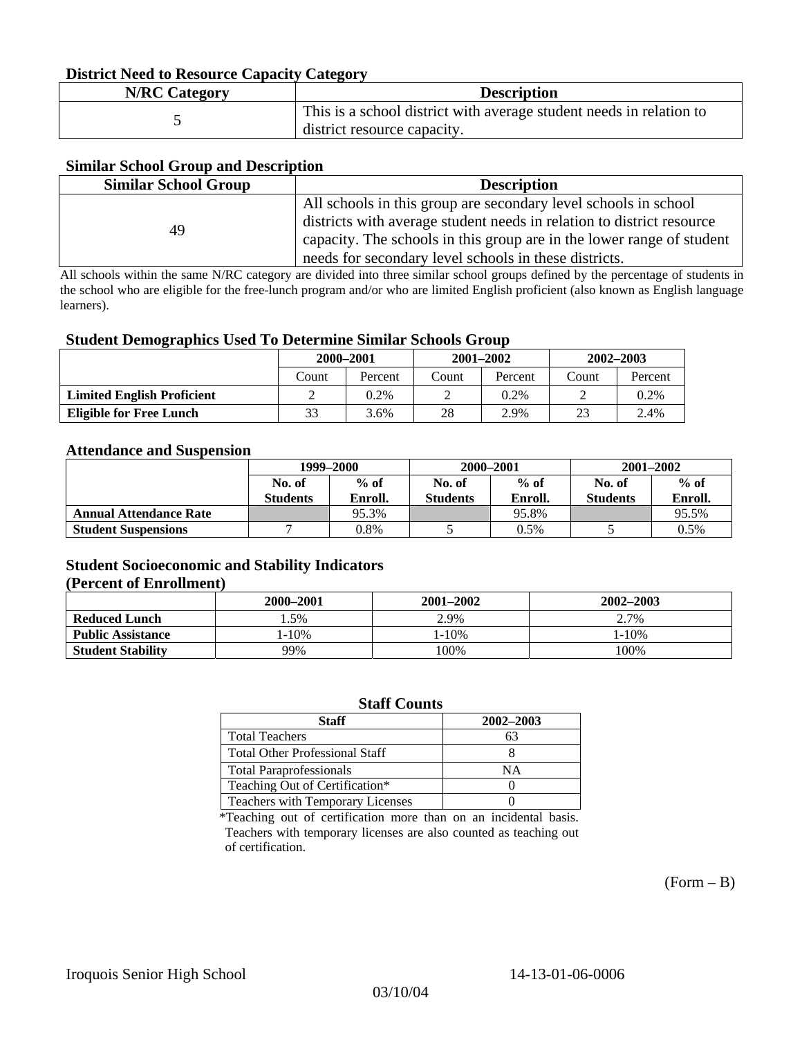#### **District Need to Resource Capacity Category**

| <b>N/RC Category</b> | <b>Description</b>                                                                                 |
|----------------------|----------------------------------------------------------------------------------------------------|
|                      | This is a school district with average student needs in relation to<br>district resource capacity. |

#### **Similar School Group and Description**

| <b>Similar School Group</b> | <b>Description</b>                                                    |
|-----------------------------|-----------------------------------------------------------------------|
|                             | All schools in this group are secondary level schools in school       |
| 49                          | districts with average student needs in relation to district resource |
|                             | capacity. The schools in this group are in the lower range of student |
|                             | needs for secondary level schools in these districts.                 |

All schools within the same N/RC category are divided into three similar school groups defined by the percentage of students in the school who are eligible for the free-lunch program and/or who are limited English proficient (also known as English language learners).

#### **Student Demographics Used To Determine Similar Schools Group**

|                                   | 2000-2001 |         | $2001 - 2002$ |         | $2002 - 2003$ |         |
|-----------------------------------|-----------|---------|---------------|---------|---------------|---------|
|                                   | Count     | Percent | Count         | Percent | Count         | Percent |
| <b>Limited English Proficient</b> |           | $0.2\%$ |               | $0.2\%$ |               | 0.2%    |
| Eligible for Free Lunch           | 33        | 3.6%    | 28            | 2.9%    | 23            | 2.4%    |

#### **Attendance and Suspension**

|                               | 1999–2000       |         | 2000-2001       |         | $2001 - 2002$   |         |
|-------------------------------|-----------------|---------|-----------------|---------|-----------------|---------|
|                               | No. of          | $%$ of  | No. of          | $%$ of  | No. of          | $%$ of  |
|                               | <b>Students</b> | Enroll. | <b>Students</b> | Enroll. | <b>Students</b> | Enroll. |
| <b>Annual Attendance Rate</b> |                 | 95.3%   |                 | 95.8%   |                 | 95.5%   |
| <b>Student Suspensions</b>    |                 | 0.8%    |                 | 0.5%    |                 | 0.5%    |

### **Student Socioeconomic and Stability Indicators (Percent of Enrollment)**

|                          | 2000-2001  | 2001–2002  | 2002-2003 |
|--------------------------|------------|------------|-----------|
| <b>Reduced Lunch</b>     | . . 5%     | 2.9%       | 2.7%      |
| <b>Public Assistance</b> | $1 - 10\%$ | $1 - 10\%$ | $-10%$    |
| <b>Student Stability</b> | 99%        | 100%       | 100%      |

#### **Staff Counts**

| Staff                                   | 2002-2003 |
|-----------------------------------------|-----------|
| <b>Total Teachers</b>                   | 63        |
| <b>Total Other Professional Staff</b>   |           |
| <b>Total Paraprofessionals</b>          | NΑ        |
| Teaching Out of Certification*          |           |
| <b>Teachers with Temporary Licenses</b> |           |

\*Teaching out of certification more than on an incidental basis. Teachers with temporary licenses are also counted as teaching out of certification.

 $(Form - B)$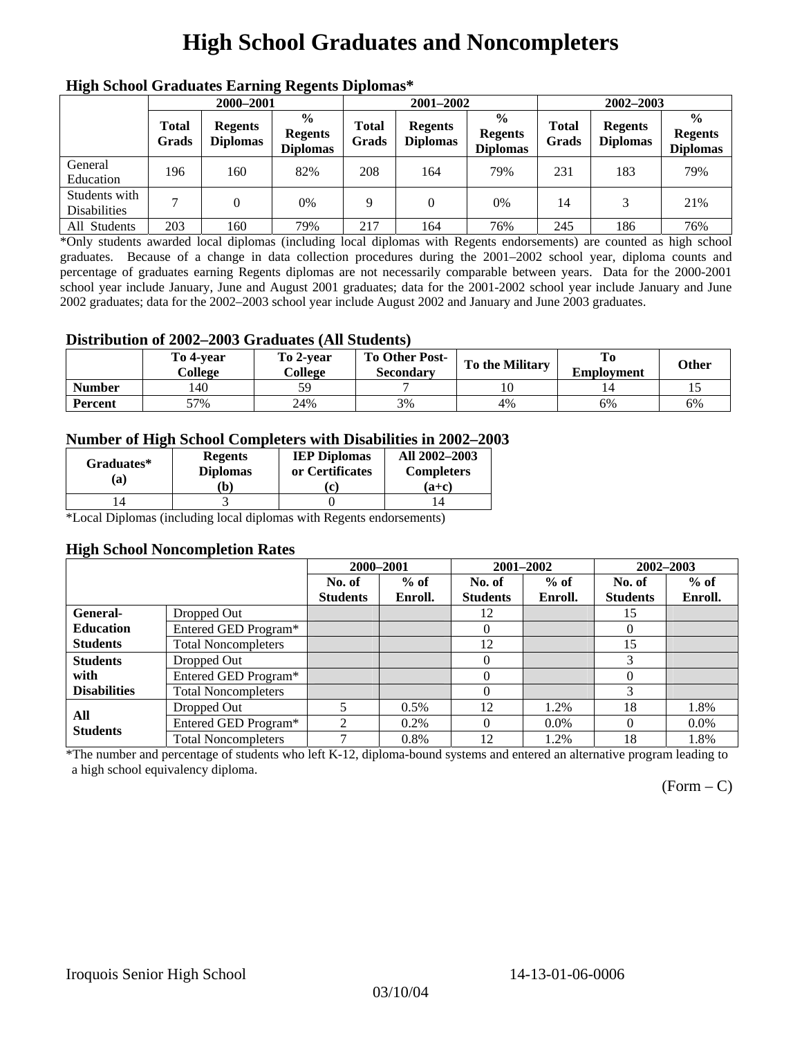# **High School Graduates and Noncompleters**

| пцен эспол этаааака вагние кессик втроина |                       |                                   |                                                    |                       |                                   |                                                    |                       |                                   |                                                    |  |
|-------------------------------------------|-----------------------|-----------------------------------|----------------------------------------------------|-----------------------|-----------------------------------|----------------------------------------------------|-----------------------|-----------------------------------|----------------------------------------------------|--|
|                                           | 2000-2001             |                                   |                                                    |                       | 2001-2002                         |                                                    |                       | 2002-2003                         |                                                    |  |
|                                           | <b>Total</b><br>Grads | <b>Regents</b><br><b>Diplomas</b> | $\frac{6}{9}$<br><b>Regents</b><br><b>Diplomas</b> | <b>Total</b><br>Grads | <b>Regents</b><br><b>Diplomas</b> | $\frac{0}{0}$<br><b>Regents</b><br><b>Diplomas</b> | <b>Total</b><br>Grads | <b>Regents</b><br><b>Diplomas</b> | $\frac{0}{0}$<br><b>Regents</b><br><b>Diplomas</b> |  |
| General<br>Education                      | 196                   | 160                               | 82%                                                | 208                   | 164                               | 79%                                                | 231                   | 183                               | 79%                                                |  |
| Students with<br><b>Disabilities</b>      |                       |                                   | 0%                                                 | Q                     | $\Omega$                          | 0%                                                 | 14                    |                                   | 21%                                                |  |
| All Students                              | 203                   | 160                               | 79%                                                | 217                   | 164                               | 76%                                                | 245                   | 186                               | 76%                                                |  |

### **High School Graduates Earning Regents Diplomas\***

\*Only students awarded local diplomas (including local diplomas with Regents endorsements) are counted as high school graduates. Because of a change in data collection procedures during the 2001–2002 school year, diploma counts and percentage of graduates earning Regents diplomas are not necessarily comparable between years. Data for the 2000-2001 school year include January, June and August 2001 graduates; data for the 2001-2002 school year include January and June 2002 graduates; data for the 2002–2003 school year include August 2002 and January and June 2003 graduates.

### **Distribution of 2002–2003 Graduates (All Students)**

|               | To 4-vear<br>College | To 2-vear<br>College | <b>To Other Post-</b><br>Secondary | <b>To the Military</b> | To<br><b>Employment</b> | <b>Other</b> |
|---------------|----------------------|----------------------|------------------------------------|------------------------|-------------------------|--------------|
| <b>Number</b> | 140                  | 50                   |                                    |                        |                         |              |
| Percent       | 57%                  | 24%                  | 3%                                 | 4%                     | 6%                      | 6%           |

### **Number of High School Completers with Disabilities in 2002–2003**

| Graduates*<br>(a) | <b>Regents</b><br><b>Diplomas</b><br>`b) | <b>IEP Diplomas</b><br>or Certificates | All 2002-2003<br><b>Completers</b><br>(a+c) |
|-------------------|------------------------------------------|----------------------------------------|---------------------------------------------|
|                   |                                          |                                        |                                             |

\*Local Diplomas (including local diplomas with Regents endorsements)

#### **High School Noncompletion Rates**

|                     |                            | 2000-2001       |         | 2001-2002       |         | 2002-2003       |         |
|---------------------|----------------------------|-----------------|---------|-----------------|---------|-----------------|---------|
|                     |                            | No. of          | $%$ of  | No. of          | $%$ of  | No. of          | $%$ of  |
|                     |                            | <b>Students</b> | Enroll. | <b>Students</b> | Enroll. | <b>Students</b> | Enroll. |
| General-            | Dropped Out                |                 |         | 12              |         | 15              |         |
| <b>Education</b>    | Entered GED Program*       |                 |         | $\Omega$        |         | $\theta$        |         |
| <b>Students</b>     | <b>Total Noncompleters</b> |                 |         | 12              |         | 15              |         |
| <b>Students</b>     | Dropped Out                |                 |         | 0               |         | 3               |         |
| with                | Entered GED Program*       |                 |         | 0               |         | 0               |         |
| <b>Disabilities</b> | <b>Total Noncompleters</b> |                 |         | $\Omega$        |         |                 |         |
| All                 | Dropped Out                |                 | $0.5\%$ | 12              | 1.2%    | 18              | 1.8%    |
| <b>Students</b>     | Entered GED Program*       | $\mathfrak{D}$  | $0.2\%$ | 0               | $0.0\%$ | 0               | $0.0\%$ |
|                     | <b>Total Noncompleters</b> | $\mathbf{r}$    | 0.8%    | 12              | 1.2%    | 18              | 1.8%    |

\*The number and percentage of students who left K-12, diploma-bound systems and entered an alternative program leading to a high school equivalency diploma.

 $(Form - C)$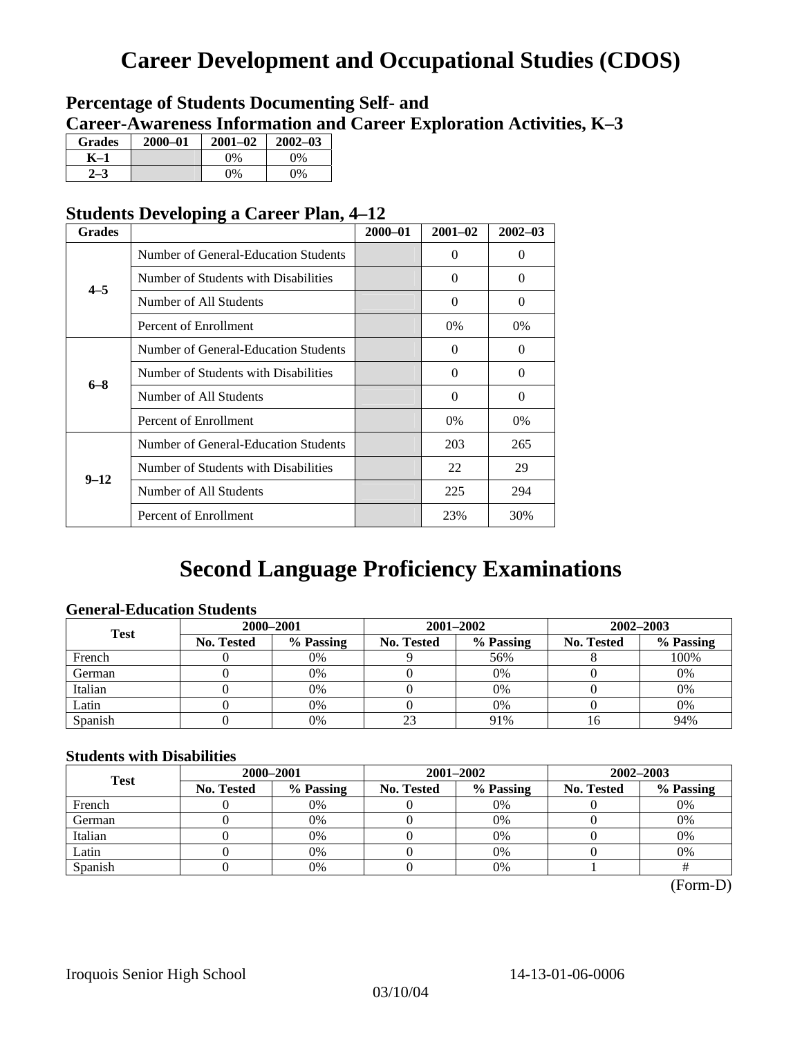## **Career Development and Occupational Studies (CDOS)**

### **Percentage of Students Documenting Self- and Career-Awareness Information and Career Exploration Activities, K–3**

| <b>Grades</b> | 2000-01 | $2001 - 02$ | $2002 - 03$ |
|---------------|---------|-------------|-------------|
| K–1           |         | $0\%$       | $0\%$       |
|               |         | $0\%$       | $0\%$       |

### **Students Developing a Career Plan, 4–12**

| <b>Grades</b> |                                      | $2000 - 01$ | $2001 - 02$ | $2002 - 03$ |
|---------------|--------------------------------------|-------------|-------------|-------------|
|               | Number of General-Education Students |             | 0           | $\Omega$    |
| $4 - 5$       | Number of Students with Disabilities |             | $\Omega$    | $\Omega$    |
|               | Number of All Students               |             | $\Omega$    | $\Omega$    |
|               | Percent of Enrollment                |             | 0%          | $0\%$       |
|               | Number of General-Education Students |             | $\Omega$    | $\Omega$    |
| $6 - 8$       | Number of Students with Disabilities |             | $\Omega$    | $\Omega$    |
|               | Number of All Students               |             | $\theta$    | $\Omega$    |
|               | Percent of Enrollment                |             | 0%          | 0%          |
|               | Number of General-Education Students |             | 203         | 265         |
|               | Number of Students with Disabilities |             | 22          | 29          |
| $9 - 12$      | Number of All Students               |             | 225         | 294         |
|               | Percent of Enrollment                |             | 23%         | 30%         |

### **Second Language Proficiency Examinations**

### **General-Education Students**

| <b>Test</b> | 2000-2001         |           |            |                                                                         | 2002-2003 |      |  |
|-------------|-------------------|-----------|------------|-------------------------------------------------------------------------|-----------|------|--|
|             | <b>No. Tested</b> | % Passing | No. Tested | 2001-2002<br>% Passing<br><b>No. Tested</b><br>56%<br>$0\%$<br>0%<br>0% | % Passing |      |  |
| French      |                   | 0%        |            |                                                                         |           | 100% |  |
| German      |                   | 0%        |            |                                                                         |           | 0%   |  |
| Italian     |                   | 0%        |            |                                                                         |           | 0%   |  |
| Latin       |                   | 0%        |            |                                                                         |           | 0%   |  |
| Spanish     |                   | 0%        | 23         | 91%                                                                     |           | 94%  |  |

### **Students with Disabilities**

| <b>Test</b> | 2000-2001         |           |            | 2001-2002 | 2002-2003         |           |  |
|-------------|-------------------|-----------|------------|-----------|-------------------|-----------|--|
|             | <b>No. Tested</b> | % Passing | No. Tested | % Passing | <b>No. Tested</b> | % Passing |  |
| French      |                   | 0%        |            | $0\%$     |                   | 0%        |  |
| German      |                   | 0%        |            | $0\%$     |                   | 0%        |  |
| Italian     |                   | 0%        |            | 0%        |                   | 0%        |  |
| Latin       |                   | 0%        |            | 0%        |                   | 0%        |  |
| Spanish     |                   | 0%        |            | 0%        |                   |           |  |

(Form-D)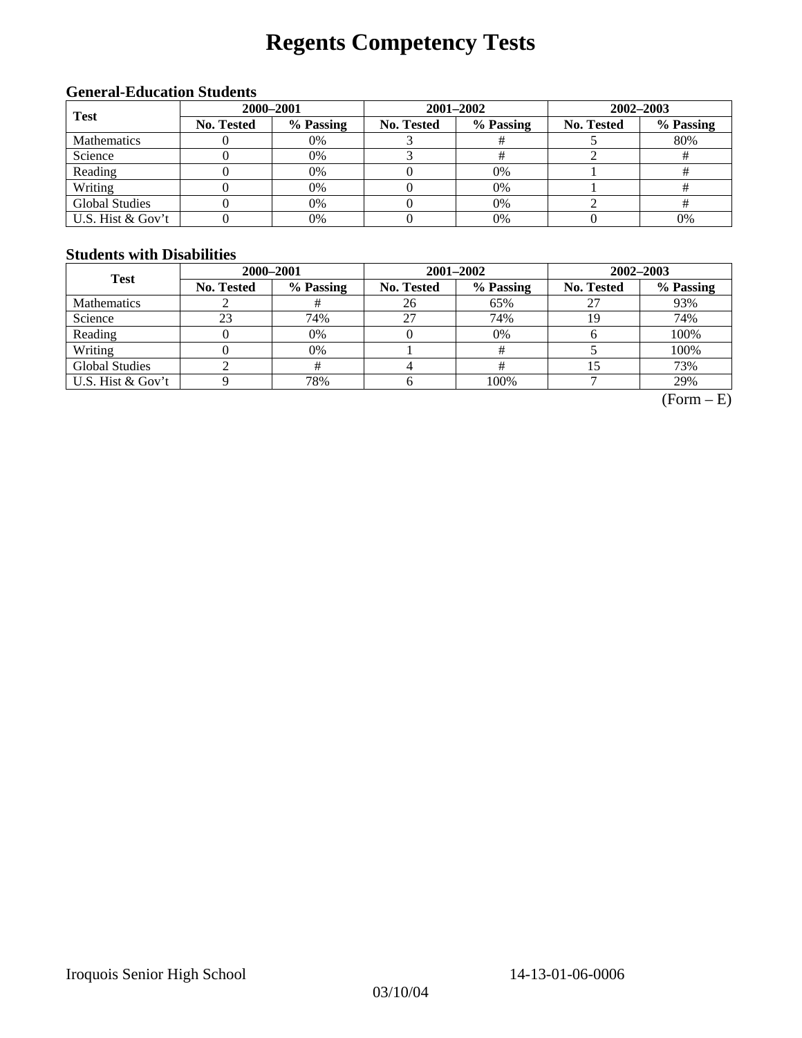# **Regents Competency Tests**

### **General-Education Students**

| <b>Test</b>           | 2000-2001  |                                                                                                          | 2001-2002 | 2002-2003 |     |  |
|-----------------------|------------|----------------------------------------------------------------------------------------------------------|-----------|-----------|-----|--|
|                       | No. Tested | % Passing<br>No. Tested<br>% Passing<br>No. Tested<br>0%<br>0%<br>0%<br>$0\%$<br>0%<br>$0\%$<br>0%<br>0% | % Passing |           |     |  |
| <b>Mathematics</b>    |            |                                                                                                          |           |           | 80% |  |
| Science               |            |                                                                                                          |           |           |     |  |
| Reading               |            |                                                                                                          |           |           |     |  |
| Writing               |            |                                                                                                          |           |           |     |  |
| <b>Global Studies</b> |            |                                                                                                          |           |           |     |  |
| U.S. Hist & Gov't     |            | 0%                                                                                                       | 0%        |           | 0%  |  |

### **Students with Disabilities**

| <b>Test</b>           | 2000-2001         |           |            | 2001-2002 | 2002-2003         |           |  |
|-----------------------|-------------------|-----------|------------|-----------|-------------------|-----------|--|
|                       | <b>No. Tested</b> | % Passing | No. Tested | % Passing | <b>No. Tested</b> | % Passing |  |
| <b>Mathematics</b>    |                   |           | 26         | 65%       |                   | 93%       |  |
| Science               | 23                | 74%       | 27         | 74%       |                   | 74%       |  |
| Reading               |                   | 0%        |            | 0%        |                   | 100%      |  |
| Writing               |                   | 0%        |            |           |                   | 100%      |  |
| <b>Global Studies</b> |                   |           |            |           |                   | 73%       |  |
| U.S. Hist & Gov't     |                   | 78%       |            | 100%      |                   | 29%       |  |

 $(Form - E)$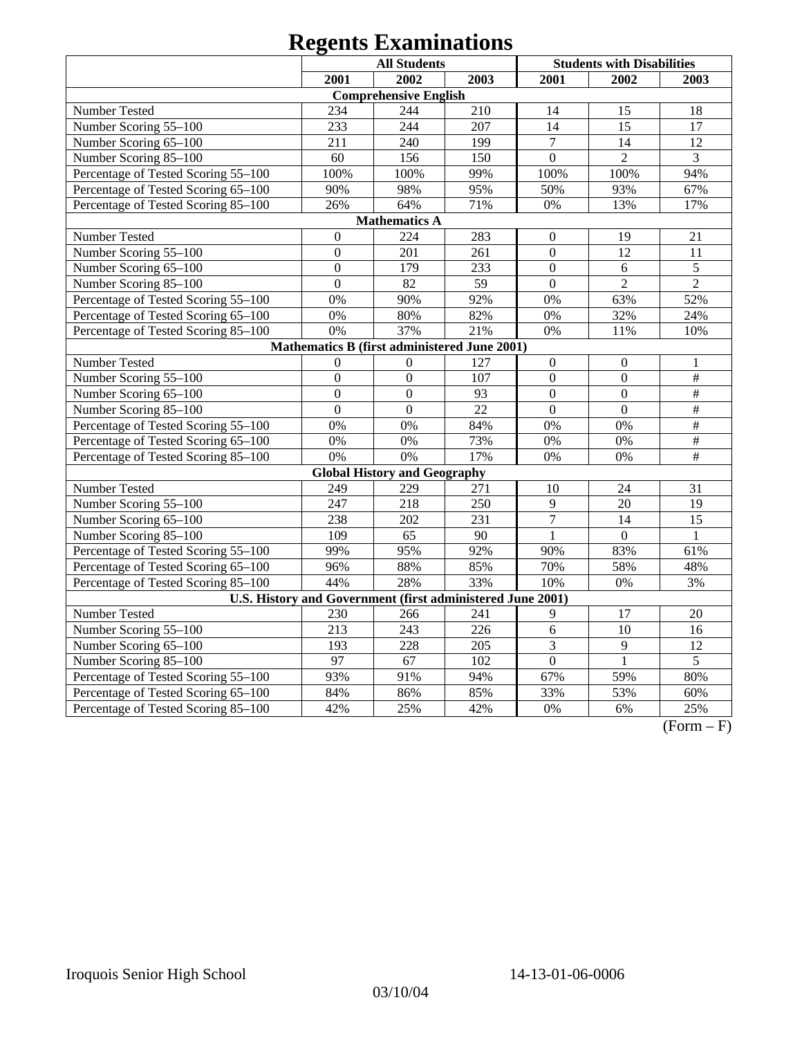|                                                            |                  | <b>All Students</b>                          |      |                  | <b>Students with Disabilities</b> |                 |
|------------------------------------------------------------|------------------|----------------------------------------------|------|------------------|-----------------------------------|-----------------|
|                                                            | 2001             | 2002                                         | 2003 | 2001             | 2002                              | 2003            |
|                                                            |                  | <b>Comprehensive English</b>                 |      |                  |                                   |                 |
| Number Tested                                              | 234              | 244                                          | 210  | 14               | 15                                | 18              |
| Number Scoring 55-100                                      | 233              | 244                                          | 207  | 14               | 15                                | 17              |
| Number Scoring 65-100                                      | 211              | 240                                          | 199  | $\tau$           | 14                                | 12              |
| Number Scoring 85-100                                      | 60               | 156                                          | 150  | $\mathbf{0}$     | $\overline{2}$                    | $\overline{3}$  |
| Percentage of Tested Scoring 55-100                        | 100%             | 100%                                         | 99%  | 100%             | 100%                              | 94%             |
| Percentage of Tested Scoring 65-100                        | 90%              | 98%                                          | 95%  | 50%              | 93%                               | 67%             |
| Percentage of Tested Scoring 85-100                        | 26%              | 64%                                          | 71%  | 0%               | 13%                               | 17%             |
|                                                            |                  | <b>Mathematics A</b>                         |      |                  |                                   |                 |
| Number Tested                                              | $\overline{0}$   | 224                                          | 283  | $\boldsymbol{0}$ | 19                                | 21              |
| Number Scoring 55-100                                      | $\boldsymbol{0}$ | 201                                          | 261  | $\boldsymbol{0}$ | 12                                | 11              |
| Number Scoring 65-100                                      | $\mathbf{0}$     | 179                                          | 233  | $\overline{0}$   | 6                                 | 5               |
| Number Scoring 85-100                                      | $\overline{0}$   | 82                                           | 59   | $\mathbf{0}$     | $\overline{2}$                    | $\overline{2}$  |
| Percentage of Tested Scoring 55-100                        | 0%               | 90%                                          | 92%  | 0%               | 63%                               | 52%             |
| Percentage of Tested Scoring 65-100                        | 0%               | 80%                                          | 82%  | 0%               | 32%                               | 24%             |
| Percentage of Tested Scoring 85-100                        | 0%               | 37%                                          | 21%  | 0%               | 11%                               | 10%             |
|                                                            |                  | Mathematics B (first administered June 2001) |      |                  |                                   |                 |
| Number Tested                                              | $\overline{0}$   | $\mathbf{0}$                                 | 127  | $\mathbf{0}$     | $\overline{0}$                    | 1               |
| Number Scoring 55-100                                      | $\overline{0}$   | $\overline{0}$                               | 107  | $\mathbf{0}$     | $\overline{0}$                    | $\frac{1}{2}$   |
| Number Scoring 65-100                                      | $\overline{0}$   | $\overline{0}$                               | 93   | $\overline{0}$   | $\overline{0}$                    | $\#$            |
| Number Scoring 85-100                                      | $\overline{0}$   | $\overline{0}$                               | 22   | $\overline{0}$   | $\Omega$                          | #               |
| Percentage of Tested Scoring 55-100                        | 0%               | 0%                                           | 84%  | 0%               | 0%                                | $\overline{\#}$ |
| Percentage of Tested Scoring 65-100                        | 0%               | 0%                                           | 73%  | 0%               | 0%                                | $\overline{\#}$ |
| Percentage of Tested Scoring 85-100                        | 0%               | 0%                                           | 17%  | 0%               | 0%                                | $\#$            |
|                                                            |                  | <b>Global History and Geography</b>          |      |                  |                                   |                 |
| Number Tested                                              | 249              | 229                                          | 271  | 10               | 24                                | 31              |
| Number Scoring 55-100                                      | 247              | 218                                          | 250  | 9                | 20                                | 19              |
| Number Scoring 65-100                                      | 238              | 202                                          | 231  | $\overline{7}$   | 14                                | 15              |
| Number Scoring 85-100                                      | 109              | 65                                           | 90   | 1                | $\Omega$                          | $\mathbf{1}$    |
| Percentage of Tested Scoring 55-100                        | 99%              | 95%                                          | 92%  | 90%              | 83%                               | 61%             |
| Percentage of Tested Scoring 65-100                        | 96%              | 88%                                          | 85%  | 70%              | 58%                               | 48%             |
| Percentage of Tested Scoring 85-100                        | 44%              | 28%                                          | 33%  | 10%              | 0%                                | 3%              |
| U.S. History and Government (first administered June 2001) |                  |                                              |      |                  |                                   |                 |
| Number Tested                                              | 230              | 266                                          | 241  | 9                | 17                                | 20              |
| Number Scoring 55-100                                      | 213              | 243                                          | 226  | $\overline{6}$   | 10                                | 16              |
| Number Scoring 65-100                                      | 193              | 228                                          | 205  | $\overline{3}$   | $\overline{9}$                    | $\overline{12}$ |
| Number Scoring 85-100                                      | $\overline{97}$  | 67                                           | 102  | $\overline{0}$   | $\mathbf{1}$                      | $\overline{5}$  |
| Percentage of Tested Scoring 55-100                        | 93%              | 91%                                          | 94%  | 67%              | 59%                               | 80%             |
| Percentage of Tested Scoring 65-100                        | 84%              | 86%                                          | 85%  | 33%              | 53%                               | 60%             |
| Percentage of Tested Scoring 85-100                        | 42%              | 25%                                          | 42%  | 0%               | 6%                                | 25%             |

 $(Form - F)$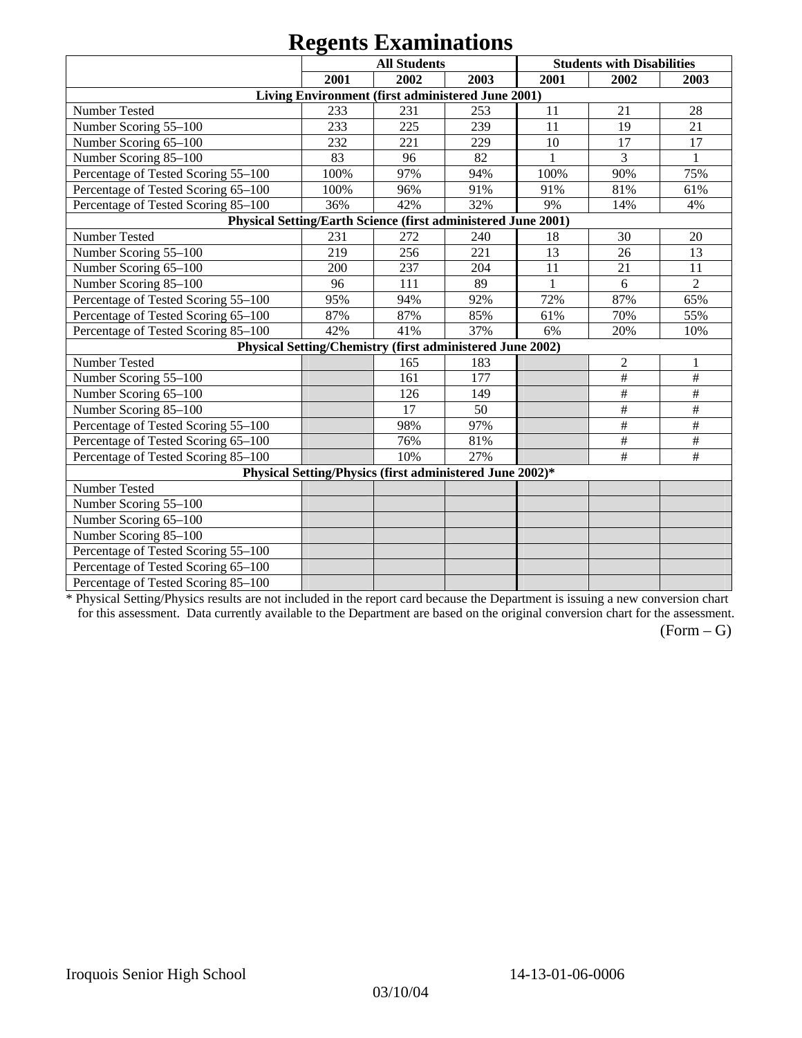|                                                               |      | $\sim$<br><b>All Students</b>                             |      |      | <b>Students with Disabilities</b> |                           |
|---------------------------------------------------------------|------|-----------------------------------------------------------|------|------|-----------------------------------|---------------------------|
|                                                               | 2001 | 2002                                                      | 2003 | 2001 | 2002                              | 2003                      |
|                                                               |      | Living Environment (first administered June 2001)         |      |      |                                   |                           |
| Number Tested                                                 | 233  | 231                                                       | 253  | 11   | 21                                | 28                        |
| Number Scoring 55-100                                         | 233  | 225                                                       | 239  | 11   | 19                                | 21                        |
| Number Scoring 65-100                                         | 232  | 221                                                       | 229  | 10   | 17                                | 17                        |
| Number Scoring 85-100                                         | 83   | 96                                                        | 82   |      | 3                                 |                           |
| Percentage of Tested Scoring 55-100                           | 100% | 97%                                                       | 94%  | 100% | 90%                               | 75%                       |
| Percentage of Tested Scoring 65-100                           | 100% | 96%                                                       | 91%  | 91%  | 81%                               | 61%                       |
| Percentage of Tested Scoring 85-100                           | 36%  | 42%                                                       | 32%  | 9%   | 14%                               | 4%                        |
| Physical Setting/Earth Science (first administered June 2001) |      |                                                           |      |      |                                   |                           |
| Number Tested                                                 | 231  | 272                                                       | 240  | 18   | 30                                | 20                        |
| Number Scoring 55-100                                         | 219  | 256                                                       | 221  | 13   | 26                                | 13                        |
| Number Scoring 65-100                                         | 200  | 237                                                       | 204  | 11   | 21                                | 11                        |
| Number Scoring 85-100                                         | 96   | 111                                                       | 89   | 1    | 6                                 | $\overline{2}$            |
| Percentage of Tested Scoring 55-100                           | 95%  | 94%                                                       | 92%  | 72%  | 87%                               | 65%                       |
| Percentage of Tested Scoring 65-100                           | 87%  | 87%                                                       | 85%  | 61%  | 70%                               | 55%                       |
| Percentage of Tested Scoring 85-100                           | 42%  | 41%                                                       | 37%  | 6%   | 20%                               | 10%                       |
|                                                               |      | Physical Setting/Chemistry (first administered June 2002) |      |      |                                   |                           |
| Number Tested                                                 |      | 165                                                       | 183  |      | $\overline{2}$                    |                           |
| Number Scoring 55-100                                         |      | 161                                                       | 177  |      | $\#$                              | $\#$                      |
| Number Scoring 65-100                                         |      | 126                                                       | 149  |      | $\#$                              | $\#$                      |
| Number Scoring 85-100                                         |      | 17                                                        | 50   |      | $\#$                              | $\#$                      |
| Percentage of Tested Scoring 55-100                           |      | 98%                                                       | 97%  |      | $\#$                              | $\overline{\overline{H}}$ |
| Percentage of Tested Scoring 65-100                           |      | 76%                                                       | 81%  |      | $\#$                              | $\#$                      |
| Percentage of Tested Scoring 85-100                           |      | 10%                                                       | 27%  |      | $\#$                              | $\#$                      |
|                                                               |      | Physical Setting/Physics (first administered June 2002)*  |      |      |                                   |                           |
| Number Tested                                                 |      |                                                           |      |      |                                   |                           |
| Number Scoring 55-100                                         |      |                                                           |      |      |                                   |                           |
| Number Scoring 65-100                                         |      |                                                           |      |      |                                   |                           |
| Number Scoring 85-100                                         |      |                                                           |      |      |                                   |                           |
| Percentage of Tested Scoring 55-100                           |      |                                                           |      |      |                                   |                           |
| Percentage of Tested Scoring 65-100                           |      |                                                           |      |      |                                   |                           |
| Percentage of Tested Scoring 85-100                           |      |                                                           |      |      |                                   |                           |

\* Physical Setting/Physics results are not included in the report card because the Department is issuing a new conversion chart for this assessment. Data currently available to the Department are based on the original conversion chart for the assessment.

 $(Form - G)$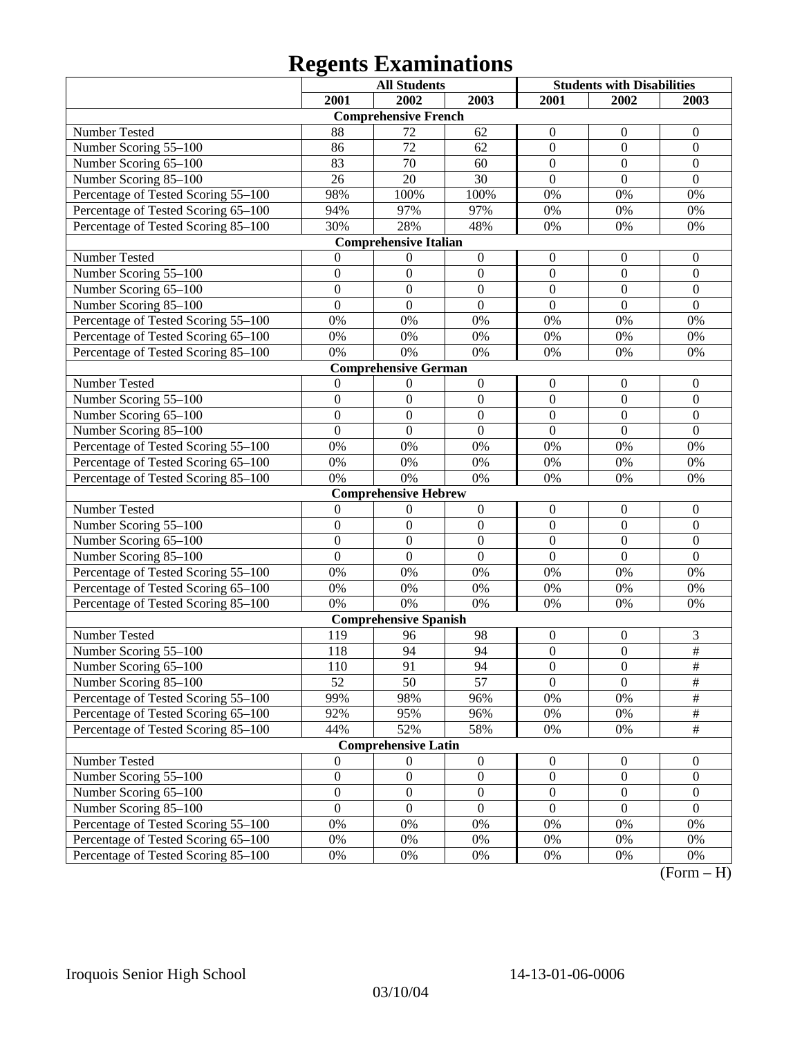|                                     |                  | <b>All Students</b>          |                  | <b>Students with Disabilities</b> |                  |                    |
|-------------------------------------|------------------|------------------------------|------------------|-----------------------------------|------------------|--------------------|
|                                     | 2001             | 2002                         | 2003             | 2001                              | 2002             | 2003               |
|                                     |                  | <b>Comprehensive French</b>  |                  |                                   |                  |                    |
| Number Tested                       | 88               | 72                           | 62               | $\boldsymbol{0}$                  | $\overline{0}$   | $\mathbf{0}$       |
| Number Scoring 55-100               | 86               | 72                           | 62               | $\overline{0}$                    | $\mathbf{0}$     | $\mathbf{0}$       |
| Number Scoring 65-100               | 83               | 70                           | 60               | $\overline{0}$                    | $\mathbf{0}$     | $\mathbf{0}$       |
| Number Scoring 85-100               | 26               | 20                           | 30               | $\overline{0}$                    | $\mathbf{0}$     | $\boldsymbol{0}$   |
| Percentage of Tested Scoring 55-100 | 98%              | 100%                         | 100%             | 0%                                | $0\%$            | 0%                 |
| Percentage of Tested Scoring 65-100 | 94%              | 97%                          | 97%              | 0%                                | $0\%$            | 0%                 |
| Percentage of Tested Scoring 85-100 | 30%              | 28%                          | 48%              | 0%                                | 0%               | 0%                 |
|                                     |                  | <b>Comprehensive Italian</b> |                  |                                   |                  |                    |
| Number Tested                       | $\mathbf{0}$     | $\overline{0}$               | $\boldsymbol{0}$ | $\boldsymbol{0}$                  | $\boldsymbol{0}$ | $\mathbf{0}$       |
| Number Scoring 55-100               | $\mathbf{0}$     | $\mathbf{0}$                 | $\boldsymbol{0}$ | $\mathbf{0}$                      | $\boldsymbol{0}$ | $\boldsymbol{0}$   |
| Number Scoring 65-100               | $\overline{0}$   | $\boldsymbol{0}$             | $\mathbf{0}$     | $\overline{0}$                    | $\mathbf{0}$     | $\boldsymbol{0}$   |
| Number Scoring 85-100               | $\overline{0}$   | $\mathbf{0}$                 | $\overline{0}$   | $\overline{0}$                    | $\mathbf{0}$     | $\mathbf{0}$       |
| Percentage of Tested Scoring 55-100 | 0%               | 0%                           | 0%               | 0%                                | 0%               | 0%                 |
| Percentage of Tested Scoring 65-100 | $0\%$            | 0%                           | $0\%$            | 0%                                | $0\%$            | 0%                 |
| Percentage of Tested Scoring 85-100 | 0%               | 0%                           | $0\%$            | 0%                                | 0%               | 0%                 |
|                                     |                  | <b>Comprehensive German</b>  |                  |                                   |                  |                    |
| Number Tested                       | $\theta$         | $\overline{0}$               | $\boldsymbol{0}$ | $\boldsymbol{0}$                  | $\boldsymbol{0}$ | $\boldsymbol{0}$   |
| Number Scoring 55-100               | $\boldsymbol{0}$ | $\boldsymbol{0}$             | $\boldsymbol{0}$ | $\overline{0}$                    | $\mathbf{0}$     | $\mathbf{0}$       |
| Number Scoring 65-100               | $\overline{0}$   | $\mathbf{0}$                 | $\mathbf{0}$     | $\overline{0}$                    | $\mathbf{0}$     | $\mathbf{0}$       |
| Number Scoring 85-100               | $\overline{0}$   | $\mathbf{0}$                 | $\mathbf{0}$     | $\mathbf{0}$                      | $\mathbf{0}$     | $\mathbf{0}$       |
| Percentage of Tested Scoring 55-100 | $0\%$            | 0%                           | 0%               | 0%                                | $0\%$            | 0%                 |
| Percentage of Tested Scoring 65-100 | $0\%$            | 0%                           | $0\%$            | 0%                                | $0\%$            | 0%                 |
| Percentage of Tested Scoring 85-100 | 0%               | 0%                           | 0%               | 0%                                | 0%               | 0%                 |
|                                     |                  | <b>Comprehensive Hebrew</b>  |                  |                                   |                  |                    |
| Number Tested                       | $\mathbf{0}$     | $\theta$                     | $\boldsymbol{0}$ | $\boldsymbol{0}$                  | $\boldsymbol{0}$ | $\mathbf{0}$       |
| Number Scoring 55-100               | $\mathbf{0}$     | $\mathbf{0}$                 | $\boldsymbol{0}$ | $\mathbf{0}$                      | $\boldsymbol{0}$ | $\boldsymbol{0}$   |
| Number Scoring 65-100               | $\overline{0}$   | $\boldsymbol{0}$             | $\mathbf{0}$     | $\overline{0}$                    | $\overline{0}$   | $\boldsymbol{0}$   |
| Number Scoring 85-100               | $\overline{0}$   | $\mathbf{0}$                 | $\mathbf{0}$     | $\overline{0}$                    | $\overline{0}$   | $\mathbf{0}$       |
| Percentage of Tested Scoring 55-100 | $0\%$            | 0%                           | $0\%$            | 0%                                | 0%               | 0%                 |
| Percentage of Tested Scoring 65-100 | $0\%$            | 0%                           | $0\%$            | 0%                                | $0\%$            | 0%                 |
| Percentage of Tested Scoring 85-100 | 0%               | 0%                           | $0\%$            | 0%                                | 0%               | 0%                 |
|                                     |                  | <b>Comprehensive Spanish</b> |                  |                                   |                  |                    |
| Number Tested                       | 119              | 96                           | 98               | $\boldsymbol{0}$                  | $\boldsymbol{0}$ | 3                  |
| Number Scoring 55-100               | 118              | 94                           | 94               | $\boldsymbol{0}$                  | $\overline{0}$   | $\overline{\#}$    |
| Number Scoring $65-100$             | 110              | 91                           | 94               | $\overline{0}$                    | $\overline{0}$   | $\overline{\#}$    |
| Number Scoring 85-100               | 52               | 50                           | 57               | $\mathbf{0}$                      | $\overline{0}$   | $\#$               |
| Percentage of Tested Scoring 55-100 | 99%              | 98%                          | 96%              | 0%                                | 0%               | $\#$               |
| Percentage of Tested Scoring 65-100 | 92%              | 95%                          | 96%              | $0\%$                             | 0%               | $\#$               |
| Percentage of Tested Scoring 85-100 | 44%              | 52%                          | 58%              | 0%                                | 0%               | $\#$               |
|                                     |                  | <b>Comprehensive Latin</b>   |                  |                                   |                  |                    |
| Number Tested                       | $\mathbf{0}$     | $\overline{0}$               | $\boldsymbol{0}$ | $\boldsymbol{0}$                  | $\boldsymbol{0}$ | $\boldsymbol{0}$   |
| Number Scoring 55-100               | $\boldsymbol{0}$ | $\boldsymbol{0}$             | $\boldsymbol{0}$ | $\boldsymbol{0}$                  | $\boldsymbol{0}$ | $\boldsymbol{0}$   |
| Number Scoring 65-100               | $\boldsymbol{0}$ | $\boldsymbol{0}$             | $\boldsymbol{0}$ | $\boldsymbol{0}$                  | $\boldsymbol{0}$ | $\boldsymbol{0}$   |
| Number Scoring 85-100               | $\mathbf{0}$     | $\boldsymbol{0}$             | $\boldsymbol{0}$ | $\overline{0}$                    | $\boldsymbol{0}$ | $\overline{0}$     |
| Percentage of Tested Scoring 55-100 | $0\%$            | 0%                           | 0%               | 0%                                | $0\%$            | 0%                 |
| Percentage of Tested Scoring 65-100 | $0\%$            | 0%                           | 0%               | 0%                                | $0\%$            | 0%                 |
| Percentage of Tested Scoring 85-100 | $0\%$            | $0\%$                        | $0\%$            | 0%                                | 0%               | 0%<br>$\mathbf{T}$ |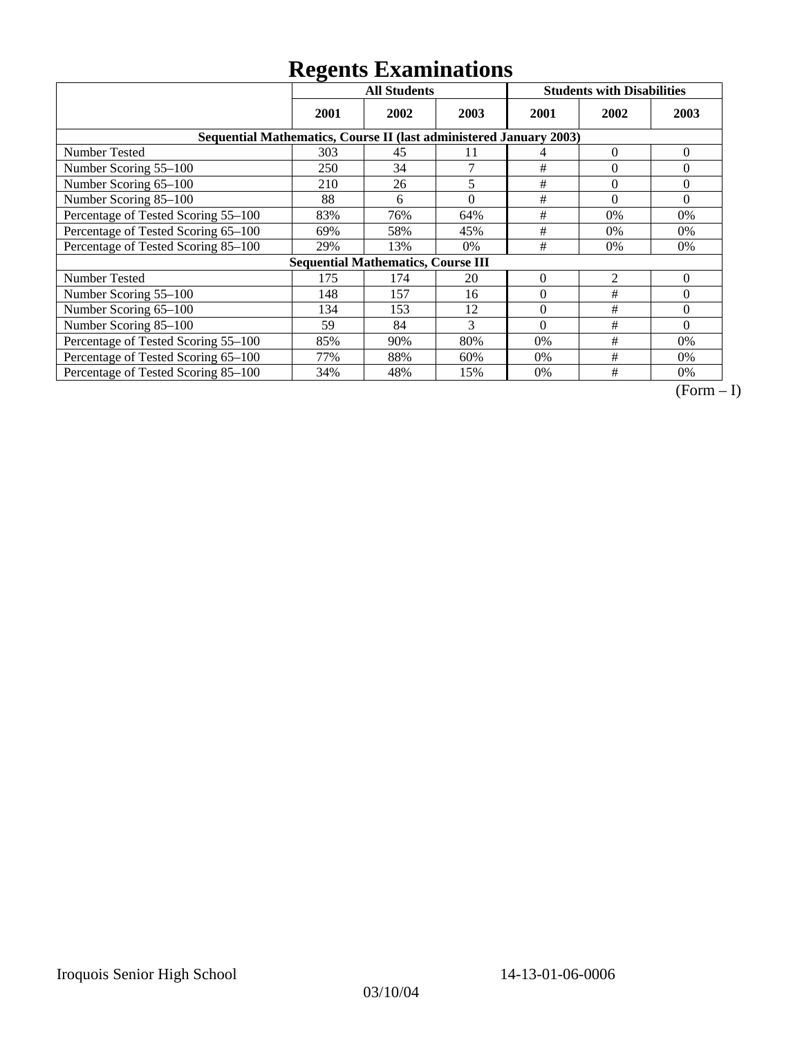|                                     | ິ<br><b>All Students</b>                                           |                                           |          | <b>Students with Disabilities</b> |          |          |  |  |  |
|-------------------------------------|--------------------------------------------------------------------|-------------------------------------------|----------|-----------------------------------|----------|----------|--|--|--|
|                                     | 2001                                                               | 2002                                      | 2003     | 2001                              | 2002     | 2003     |  |  |  |
|                                     | Sequential Mathematics, Course II (last administered January 2003) |                                           |          |                                   |          |          |  |  |  |
| <b>Number Tested</b>                | 303                                                                | 45                                        | 11       | 4                                 | $\Omega$ | $\theta$ |  |  |  |
| Number Scoring 55-100               | 250                                                                | 34                                        | 7        | $\#$                              | $\theta$ | $\Omega$ |  |  |  |
| Number Scoring 65-100               | 210                                                                | 26                                        | 5        | $\#$                              | $\theta$ | $\Omega$ |  |  |  |
| Number Scoring 85-100               | 88                                                                 | 6                                         | $\theta$ | #                                 | $\theta$ | $\Omega$ |  |  |  |
| Percentage of Tested Scoring 55-100 | 83%                                                                | 76%                                       | 64%      | $\#$                              | 0%       | 0%       |  |  |  |
| Percentage of Tested Scoring 65-100 | 69%                                                                | 58%                                       | 45%      | #                                 | 0%       | 0%       |  |  |  |
| Percentage of Tested Scoring 85-100 | 29%                                                                | 13%                                       | 0%       | #                                 | $0\%$    | $0\%$    |  |  |  |
|                                     |                                                                    | <b>Sequential Mathematics, Course III</b> |          |                                   |          |          |  |  |  |
| <b>Number Tested</b>                | 175                                                                | 174                                       | 20       | $\theta$                          | 2        | $\theta$ |  |  |  |
| Number Scoring 55-100               | 148                                                                | 157                                       | 16       | $\theta$                          | #        | $\Omega$ |  |  |  |
| Number Scoring 65-100               | 134                                                                | 153                                       | 12       | $\Omega$                          | #        | $\Omega$ |  |  |  |
| Number Scoring 85-100               | 59                                                                 | 84                                        | 3        | $\Omega$                          | #        | $\Omega$ |  |  |  |
| Percentage of Tested Scoring 55-100 | 85%                                                                | 90%                                       | 80%      | $0\%$                             | #        | $0\%$    |  |  |  |
| Percentage of Tested Scoring 65-100 | 77%                                                                | 88%                                       | 60%      | $0\%$                             | #        | $0\%$    |  |  |  |
| Percentage of Tested Scoring 85-100 | 34%                                                                | 48%                                       | 15%      | 0%                                | #        | 0%       |  |  |  |

 $\overline{(Form-I)}$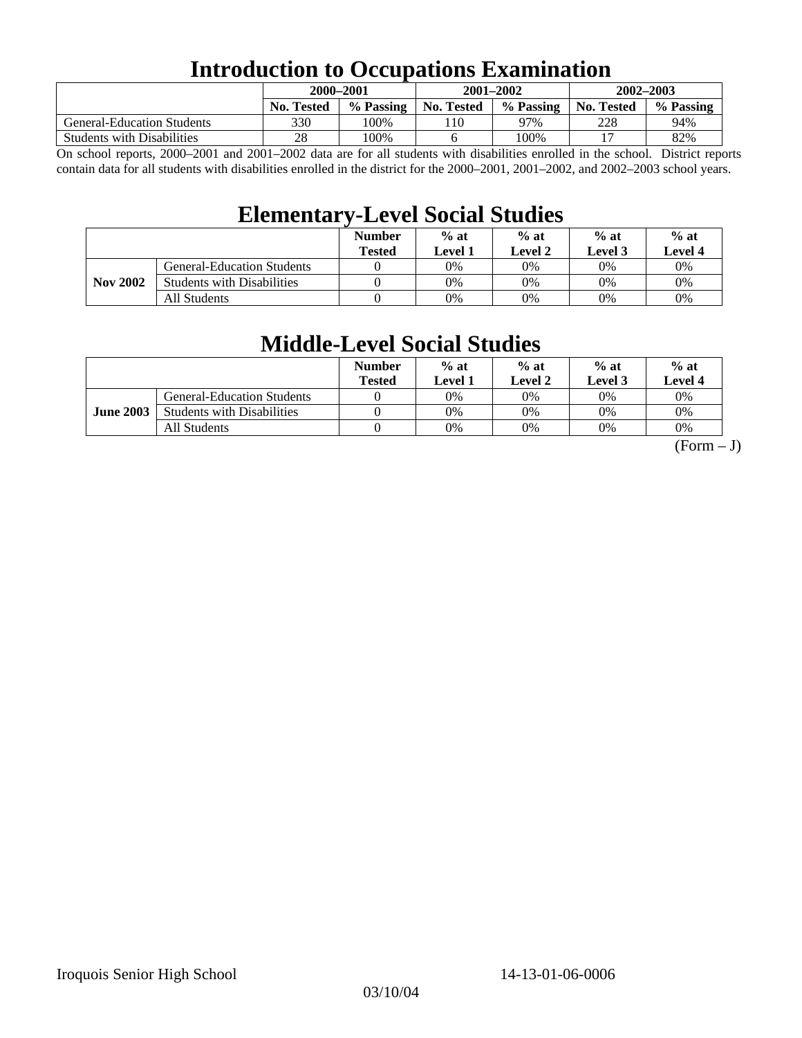### **Introduction to Occupations Examination**

|                                   | 2000-2001         |           | $2001 - 2002$ |           | $2002 - 2003$ |           |  |
|-----------------------------------|-------------------|-----------|---------------|-----------|---------------|-----------|--|
|                                   | <b>No. Tested</b> | % Passing | No. Tested    | % Passing | No. Tested    | % Passing |  |
| <b>General-Education Students</b> | 330               | 100%      | 10            | 97%       | 228           | 94%       |  |
| <b>Students with Disabilities</b> | 28                | 100%      |               | 100%      |               | 82%       |  |

On school reports, 2000–2001 and 2001–2002 data are for all students with disabilities enrolled in the school. District reports contain data for all students with disabilities enrolled in the district for the 2000–2001, 2001–2002, and 2002–2003 school years.

### **Elementary-Level Social Studies**

|                 |                                   | <b>Number</b><br><b>Tested</b> | $%$ at<br>Level 1 | $%$ at<br>$%$ at<br>Level 3<br>Level 2 |    | $%$ at<br>Level 4 |
|-----------------|-----------------------------------|--------------------------------|-------------------|----------------------------------------|----|-------------------|
| <b>Nov 2002</b> | <b>General-Education Students</b> |                                | 0%                | 0%                                     | 0% | 0%                |
|                 | <b>Students with Disabilities</b> |                                | 0%                | 0%                                     | 0% | $0\%$             |
|                 | All Students                      |                                | 0%                | 0%                                     | 0% | $0\%$             |

### **Middle-Level Social Studies**

|                  |                                   | <b>Number</b><br><b>Tested</b> | $%$ at<br>Level 1 | $%$ at<br>Level 2 | $%$ at<br>Level 3 | $%$ at<br>Level 4 |
|------------------|-----------------------------------|--------------------------------|-------------------|-------------------|-------------------|-------------------|
| <b>June 2003</b> | <b>General-Education Students</b> |                                | 0%                | 0%                | 0%                | 0%                |
|                  | <b>Students with Disabilities</b> |                                | 0%                | 0%                | 0%                | 0%                |
|                  | All Students                      |                                | 0%                | 0%                | 0%                | 0%                |

 $(Form - J)$